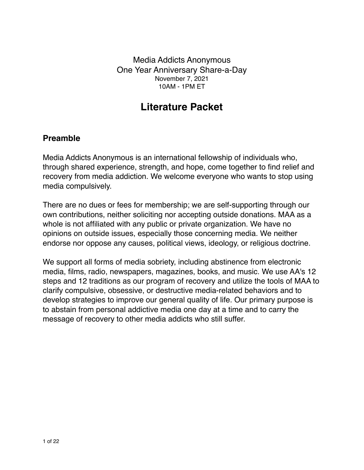Media Addicts Anonymous One Year Anniversary Share-a-Day November 7, 2021 10AM - 1PM ET

# **Literature Packet**

### **Preamble**

Media Addicts Anonymous is an international fellowship of individuals who, through shared experience, strength, and hope, come together to find relief and recovery from media addiction. We welcome everyone who wants to stop using media compulsively.

There are no dues or fees for membership; we are self-supporting through our own contributions, neither soliciting nor accepting outside donations. MAA as a whole is not affiliated with any public or private organization. We have no opinions on outside issues, especially those concerning media. We neither endorse nor oppose any causes, political views, ideology, or religious doctrine.

We support all forms of media sobriety, including abstinence from electronic media, films, radio, newspapers, magazines, books, and music. We use AA's 12 steps and 12 traditions as our program of recovery and utilize the tools of MAA to clarify compulsive, obsessive, or destructive media-related behaviors and to develop strategies to improve our general quality of life. Our primary purpose is to abstain from personal addictive media one day at a time and to carry the message of recovery to other media addicts who still suffer.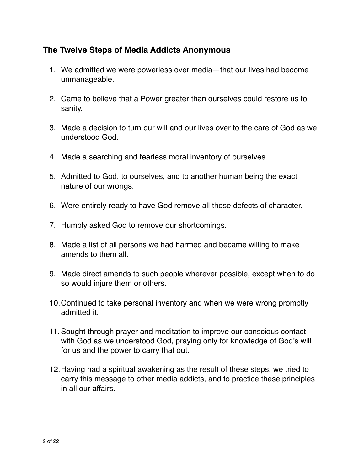# **The Twelve Steps of Media Addicts Anonymous**

- 1. We admitted we were powerless over media—that our lives had become unmanageable.
- 2. Came to believe that a Power greater than ourselves could restore us to sanity.
- 3. Made a decision to turn our will and our lives over to the care of God as we understood God.
- 4. Made a searching and fearless moral inventory of ourselves.
- 5. Admitted to God, to ourselves, and to another human being the exact nature of our wrongs.
- 6. Were entirely ready to have God remove all these defects of character.
- 7. Humbly asked God to remove our shortcomings.
- 8. Made a list of all persons we had harmed and became willing to make amends to them all.
- 9. Made direct amends to such people wherever possible, except when to do so would injure them or others.
- 10.Continued to take personal inventory and when we were wrong promptly admitted it.
- 11. Sought through prayer and meditation to improve our conscious contact with God as we understood God, praying only for knowledge of God's will for us and the power to carry that out.
- 12.Having had a spiritual awakening as the result of these steps, we tried to carry this message to other media addicts, and to practice these principles in all our affairs.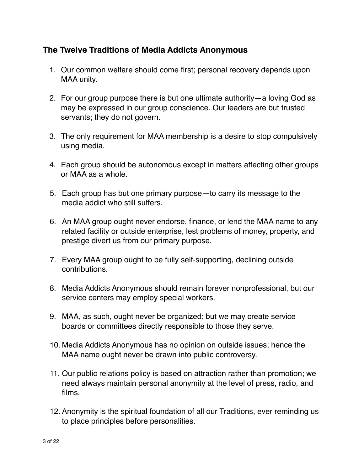### **The Twelve Traditions of Media Addicts Anonymous**

- 1. Our common welfare should come first; personal recovery depends upon MAA unity.
- 2. For our group purpose there is but one ultimate authority—a loving God as may be expressed in our group conscience. Our leaders are but trusted servants; they do not govern.
- 3. The only requirement for MAA membership is a desire to stop compulsively using media.
- 4. Each group should be autonomous except in matters affecting other groups or MAA as a whole.
- 5. Each group has but one primary purpose—to carry its message to the media addict who still suffers.
- 6. An MAA group ought never endorse, finance, or lend the MAA name to any related facility or outside enterprise, lest problems of money, property, and prestige divert us from our primary purpose.
- 7. Every MAA group ought to be fully self-supporting, declining outside contributions.
- 8. Media Addicts Anonymous should remain forever nonprofessional, but our service centers may employ special workers.
- 9. MAA, as such, ought never be organized; but we may create service boards or committees directly responsible to those they serve.
- 10. Media Addicts Anonymous has no opinion on outside issues; hence the MAA name ought never be drawn into public controversy.
- 11. Our public relations policy is based on attraction rather than promotion; we need always maintain personal anonymity at the level of press, radio, and films.
- 12. Anonymity is the spiritual foundation of all our Traditions, ever reminding us to place principles before personalities.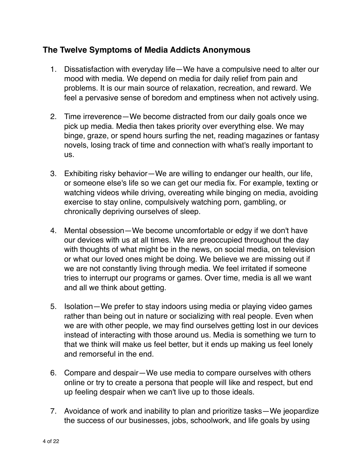## **The Twelve Symptoms of Media Addicts Anonymous**

- 1. Dissatisfaction with everyday life—We have a compulsive need to alter our mood with media. We depend on media for daily relief from pain and problems. It is our main source of relaxation, recreation, and reward. We feel a pervasive sense of boredom and emptiness when not actively using.
- 2. Time irreverence—We become distracted from our daily goals once we pick up media. Media then takes priority over everything else. We may binge, graze, or spend hours surfing the net, reading magazines or fantasy novels, losing track of time and connection with what's really important to us.
- 3. Exhibiting risky behavior—We are willing to endanger our health, our life, or someone else's life so we can get our media fix. For example, texting or watching videos while driving, overeating while binging on media, avoiding exercise to stay online, compulsively watching porn, gambling, or chronically depriving ourselves of sleep.
- 4. Mental obsession—We become uncomfortable or edgy if we don't have our devices with us at all times. We are preoccupied throughout the day with thoughts of what might be in the news, on social media, on television or what our loved ones might be doing. We believe we are missing out if we are not constantly living through media. We feel irritated if someone tries to interrupt our programs or games. Over time, media is all we want and all we think about getting.
- 5. Isolation—We prefer to stay indoors using media or playing video games rather than being out in nature or socializing with real people. Even when we are with other people, we may find ourselves getting lost in our devices instead of interacting with those around us. Media is something we turn to that we think will make us feel better, but it ends up making us feel lonely and remorseful in the end.
- 6. Compare and despair—We use media to compare ourselves with others online or try to create a persona that people will like and respect, but end up feeling despair when we can't live up to those ideals.
- 7. Avoidance of work and inability to plan and prioritize tasks—We jeopardize the success of our businesses, jobs, schoolwork, and life goals by using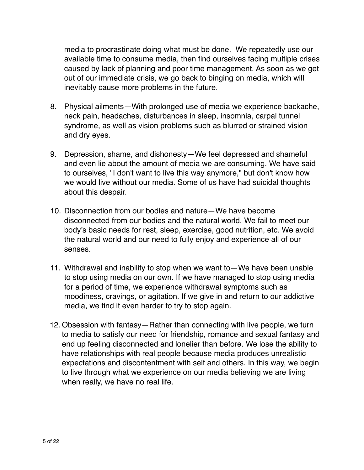media to procrastinate doing what must be done. We repeatedly use our available time to consume media, then find ourselves facing multiple crises caused by lack of planning and poor time management. As soon as we get out of our immediate crisis, we go back to binging on media, which will inevitably cause more problems in the future.

- 8. Physical ailments—With prolonged use of media we experience backache, neck pain, headaches, disturbances in sleep, insomnia, carpal tunnel syndrome, as well as vision problems such as blurred or strained vision and dry eyes.
- 9. Depression, shame, and dishonesty—We feel depressed and shameful and even lie about the amount of media we are consuming. We have said to ourselves, "I don't want to live this way anymore," but don't know how we would live without our media. Some of us have had suicidal thoughts about this despair.
- 10. Disconnection from our bodies and nature—We have become disconnected from our bodies and the natural world. We fail to meet our body's basic needs for rest, sleep, exercise, good nutrition, etc. We avoid the natural world and our need to fully enjoy and experience all of our senses.
- 11. Withdrawal and inability to stop when we want to—We have been unable to stop using media on our own. If we have managed to stop using media for a period of time, we experience withdrawal symptoms such as moodiness, cravings, or agitation. If we give in and return to our addictive media, we find it even harder to try to stop again.
- 12. Obsession with fantasy—Rather than connecting with live people, we turn to media to satisfy our need for friendship, romance and sexual fantasy and end up feeling disconnected and lonelier than before. We lose the ability to have relationships with real people because media produces unrealistic expectations and discontentment with self and others. In this way, we begin to live through what we experience on our media believing we are living when really, we have no real life.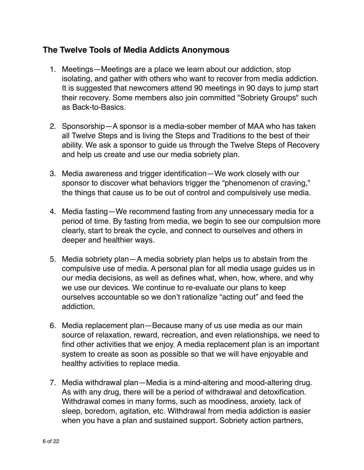## **The Twelve Tools of Media Addicts Anonymous**

- 1. Meetings—Meetings are a place we learn about our addiction, stop isolating, and gather with others who want to recover from media addiction. It is suggested that newcomers attend 90 meetings in 90 days to jump start their recovery. Some members also join committed "Sobriety Groups" such as Back-to-Basics.
- 2. Sponsorship—A sponsor is a media-sober member of MAA who has taken all Twelve Steps and is living the Steps and Traditions to the best of their ability. We ask a sponsor to guide us through the Twelve Steps of Recovery and help us create and use our media sobriety plan.
- 3. Media awareness and trigger identification—We work closely with our sponsor to discover what behaviors trigger the "phenomenon of craving," the things that cause us to be out of control and compulsively use media.
- 4. Media fasting—We recommend fasting from any unnecessary media for a period of time. By fasting from media, we begin to see our compulsion more clearly, start to break the cycle, and connect to ourselves and others in deeper and healthier ways.
- 5. Media sobriety plan—A media sobriety plan helps us to abstain from the compulsive use of media. A personal plan for all media usage guides us in our media decisions, as well as defines what, when, how, where, and why we use our devices. We continue to re-evaluate our plans to keep ourselves accountable so we don't rationalize "acting out" and feed the addiction.
- 6. Media replacement plan—Because many of us use media as our main source of relaxation, reward, recreation, and even relationships, we need to find other activities that we enjoy. A media replacement plan is an important system to create as soon as possible so that we will have enjoyable and healthy activities to replace media.
- 7. Media withdrawal plan—Media is a mind-altering and mood-altering drug. As with any drug, there will be a period of withdrawal and detoxification. Withdrawal comes in many forms, such as moodiness, anxiety, lack of sleep, boredom, agitation, etc. Withdrawal from media addiction is easier when you have a plan and sustained support. Sobriety action partners,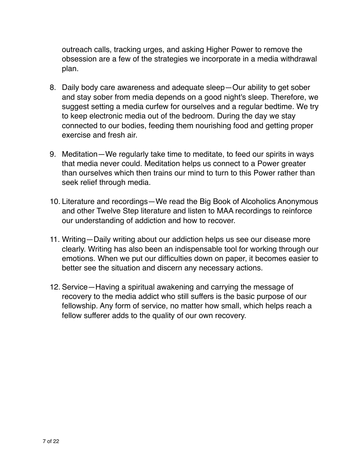outreach calls, tracking urges, and asking Higher Power to remove the obsession are a few of the strategies we incorporate in a media withdrawal plan.

- 8. Daily body care awareness and adequate sleep—Our ability to get sober and stay sober from media depends on a good night's sleep. Therefore, we suggest setting a media curfew for ourselves and a regular bedtime. We try to keep electronic media out of the bedroom. During the day we stay connected to our bodies, feeding them nourishing food and getting proper exercise and fresh air.
- 9. Meditation—We regularly take time to meditate, to feed our spirits in ways that media never could. Meditation helps us connect to a Power greater than ourselves which then trains our mind to turn to this Power rather than seek relief through media.
- 10. Literature and recordings—We read the Big Book of Alcoholics Anonymous and other Twelve Step literature and listen to MAA recordings to reinforce our understanding of addiction and how to recover.
- 11. Writing—Daily writing about our addiction helps us see our disease more clearly. Writing has also been an indispensable tool for working through our emotions. When we put our difficulties down on paper, it becomes easier to better see the situation and discern any necessary actions.
- 12. Service—Having a spiritual awakening and carrying the message of recovery to the media addict who still suffers is the basic purpose of our fellowship. Any form of service, no matter how small, which helps reach a fellow sufferer adds to the quality of our own recovery.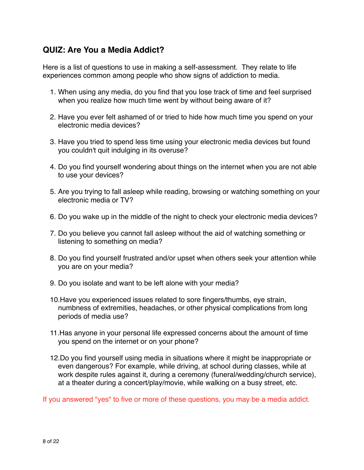# **QUIZ: Are You a Media Addict?**

Here is a list of questions to use in making a self-assessment. They relate to life experiences common among people who show signs of addiction to media.

- 1. When using any media, do you find that you lose track of time and feel surprised when you realize how much time went by without being aware of it?
- 2. Have you ever felt ashamed of or tried to hide how much time you spend on your electronic media devices?
- 3. Have you tried to spend less time using your electronic media devices but found you couldn't quit indulging in its overuse?
- 4. Do you find yourself wondering about things on the internet when you are not able to use your devices?
- 5. Are you trying to fall asleep while reading, browsing or watching something on your electronic media or TV?
- 6. Do you wake up in the middle of the night to check your electronic media devices?
- 7. Do you believe you cannot fall asleep without the aid of watching something or listening to something on media?
- 8. Do you find yourself frustrated and/or upset when others seek your attention while you are on your media?
- 9. Do you isolate and want to be left alone with your media?
- 10.Have you experienced issues related to sore fingers/thumbs, eye strain, numbness of extremities, headaches, or other physical complications from long periods of media use?
- 11.Has anyone in your personal life expressed concerns about the amount of time you spend on the internet or on your phone?
- 12.Do you find yourself using media in situations where it might be inappropriate or even dangerous? For example, while driving, at school during classes, while at work despite rules against it, during a ceremony (funeral/wedding/church service), at a theater during a concert/play/movie, while walking on a busy street, etc.

If you answered "yes" to five or more of these questions, you may be a media addict.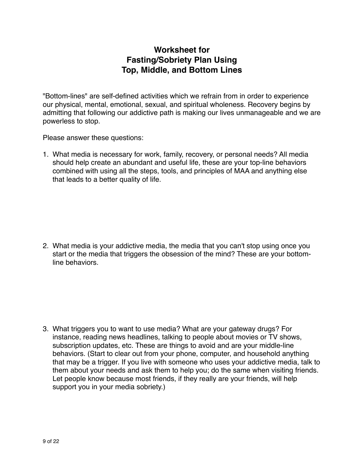# **Worksheet for Fasting/Sobriety Plan Using Top, Middle, and Bottom Lines**

"Bottom-lines" are self-defined activities which we refrain from in order to experience our physical, mental, emotional, sexual, and spiritual wholeness. Recovery begins by admitting that following our addictive path is making our lives unmanageable and we are powerless to stop.

Please answer these questions:

1. What media is necessary for work, family, recovery, or personal needs? All media should help create an abundant and useful life, these are your top-line behaviors combined with using all the steps, tools, and principles of MAA and anything else that leads to a better quality of life.

2. What media is your addictive media, the media that you can't stop using once you start or the media that triggers the obsession of the mind? These are your bottomline behaviors.

3. What triggers you to want to use media? What are your gateway drugs? For instance, reading news headlines, talking to people about movies or TV shows, subscription updates, etc. These are things to avoid and are your middle-line behaviors. (Start to clear out from your phone, computer, and household anything that may be a trigger. If you live with someone who uses your addictive media, talk to them about your needs and ask them to help you; do the same when visiting friends. Let people know because most friends, if they really are your friends, will help support you in your media sobriety.)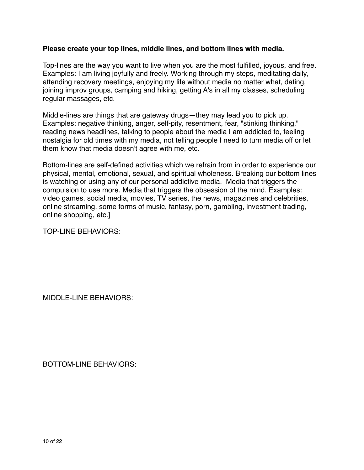#### **Please create your top lines, middle lines, and bottom lines with media.**

Top-lines are the way you want to live when you are the most fulfilled, joyous, and free. Examples: I am living joyfully and freely. Working through my steps, meditating daily, attending recovery meetings, enjoying my life without media no matter what, dating, joining improv groups, camping and hiking, getting A's in all my classes, scheduling regular massages, etc.

Middle-lines are things that are gateway drugs—they may lead you to pick up. Examples: negative thinking, anger, self-pity, resentment, fear, "stinking thinking," reading news headlines, talking to people about the media I am addicted to, feeling nostalgia for old times with my media, not telling people I need to turn media off or let them know that media doesn't agree with me, etc.

Bottom-lines are self-defined activities which we refrain from in order to experience our physical, mental, emotional, sexual, and spiritual wholeness. Breaking our bottom lines is watching or using any of our personal addictive media. Media that triggers the compulsion to use more. Media that triggers the obsession of the mind. Examples: video games, social media, movies, TV series, the news, magazines and celebrities, online streaming, some forms of music, fantasy, porn, gambling, investment trading, online shopping, etc.]

TOP-LINE BEHAVIORS:

MIDDLE-LINE BEHAVIORS:

BOTTOM-LINE BEHAVIORS: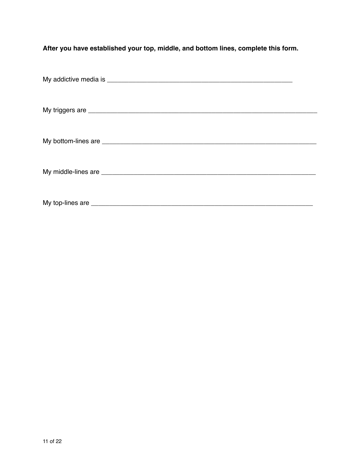**After you have established your top, middle, and bottom lines, complete this form.**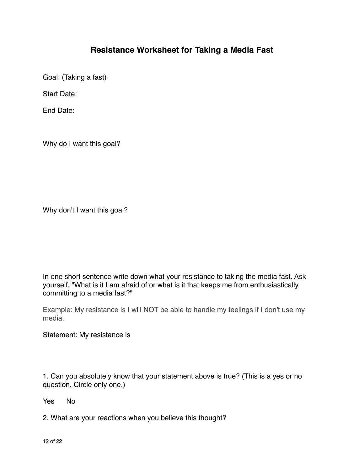# **Resistance Worksheet for Taking a Media Fast**

Goal: (Taking a fast)

Start Date:

End Date:

Why do I want this goal?

Why don't I want this goal?

In one short sentence write down what your resistance to taking the media fast. Ask yourself, "What is it I am afraid of or what is it that keeps me from enthusiastically committing to a media fast?"

Example: My resistance is I will NOT be able to handle my feelings if I don't use my media.

Statement: My resistance is

1. Can you absolutely know that your statement above is true? (This is a yes or no question. Circle only one.)

Yes No

2. What are your reactions when you believe this thought?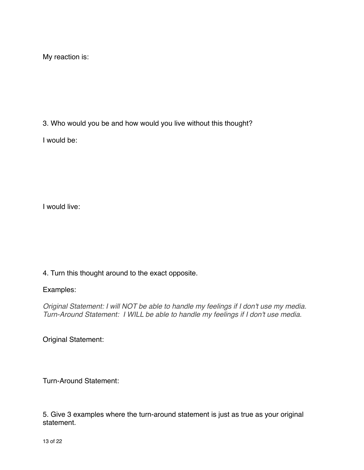My reaction is:

3. Who would you be and how would you live without this thought?

I would be:

I would live:

### 4. Turn this thought around to the exact opposite.

### Examples:

*Original Statement: I will NOT be able to handle my feelings if I don't use my media. Turn-Around Statement: I WILL be able to handle my feelings if I don't use media.*

Original Statement:

Turn-Around Statement:

5. Give 3 examples where the turn-around statement is just as true as your original statement.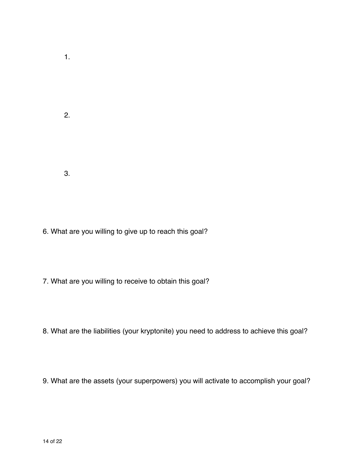1.

2.

3.

- 6. What are you willing to give up to reach this goal?
- 7. What are you willing to receive to obtain this goal?
- 8. What are the liabilities (your kryptonite) you need to address to achieve this goal?
- 9. What are the assets (your superpowers) you will activate to accomplish your goal?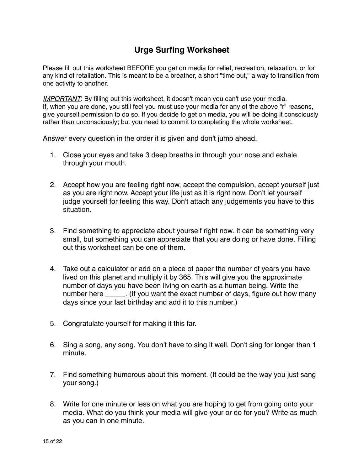# **Urge Surfing Worksheet**

Please fill out this worksheet BEFORE you get on media for relief, recreation, relaxation, or for any kind of retaliation. This is meant to be a breather, a short "time out," a way to transition from one activity to another.

*IMPORTANT*: By filling out this worksheet, it doesn't mean you can't use your media. If, when you are done, you still feel you must use your media for any of the above "r" reasons, give yourself permission to do so. If you decide to get on media, you will be doing it consciously rather than unconsciously; but you need to commit to completing the whole worksheet.

Answer every question in the order it is given and don't jump ahead.

- 1. Close your eyes and take 3 deep breaths in through your nose and exhale through your mouth.
- 2. Accept how you are feeling right now, accept the compulsion, accept yourself just as you are right now. Accept your life just as it is right now. Don't let yourself judge yourself for feeling this way. Don't attach any judgements you have to this situation.
- 3. Find something to appreciate about yourself right now. It can be something very small, but something you can appreciate that you are doing or have done. Filling out this worksheet can be one of them.
- 4. Take out a calculator or add on a piece of paper the number of years you have lived on this planet and multiply it by 365. This will give you the approximate number of days you have been living on earth as a human being. Write the number here \_\_\_\_\_. (If you want the exact number of days, figure out how many days since your last birthday and add it to this number.)
- 5. Congratulate yourself for making it this far.
- 6. Sing a song, any song. You don't have to sing it well. Don't sing for longer than 1 minute.
- 7. Find something humorous about this moment. (It could be the way you just sang your song.)
- 8. Write for one minute or less on what you are hoping to get from going onto your media. What do you think your media will give your or do for you? Write as much as you can in one minute.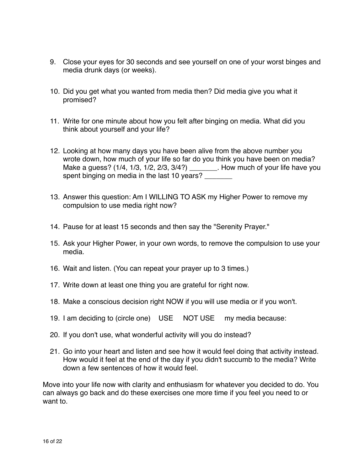- 9. Close your eyes for 30 seconds and see yourself on one of your worst binges and media drunk days (or weeks).
- 10. Did you get what you wanted from media then? Did media give you what it promised?
- 11. Write for one minute about how you felt after binging on media. What did you think about yourself and your life?
- 12. Looking at how many days you have been alive from the above number you wrote down, how much of your life so far do you think you have been on media? Make a guess? (1/4, 1/3, 1/2, 2/3, 3/4?) \_\_\_\_\_\_\_. How much of your life have you spent binging on media in the last 10 years?
- 13. Answer this question: Am I WILLING TO ASK my Higher Power to remove my compulsion to use media right now?
- 14. Pause for at least 15 seconds and then say the "Serenity Prayer."
- 15. Ask your Higher Power, in your own words, to remove the compulsion to use your media.
- 16. Wait and listen. (You can repeat your prayer up to 3 times.)
- 17. Write down at least one thing you are grateful for right now.
- 18. Make a conscious decision right NOW if you will use media or if you won't.
- 19. I am deciding to (circle one) USE NOT USE my media because:
- 20. If you don't use, what wonderful activity will you do instead?
- 21. Go into your heart and listen and see how it would feel doing that activity instead. How would it feel at the end of the day if you didn't succumb to the media? Write down a few sentences of how it would feel.

Move into your life now with clarity and enthusiasm for whatever you decided to do. You can always go back and do these exercises one more time if you feel you need to or want to.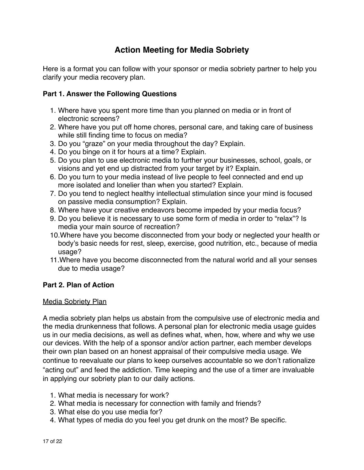# **Action Meeting for Media Sobriety**

Here is a format you can follow with your sponsor or media sobriety partner to help you clarify your media recovery plan.

### **Part 1. Answer the Following Questions**

- 1. Where have you spent more time than you planned on media or in front of electronic screens?
- 2. Where have you put off home chores, personal care, and taking care of business while still finding time to focus on media?
- 3. Do you "graze" on your media throughout the day? Explain.
- 4. Do you binge on it for hours at a time? Explain.
- 5. Do you plan to use electronic media to further your businesses, school, goals, or visions and yet end up distracted from your target by it? Explain.
- 6. Do you turn to your media instead of live people to feel connected and end up more isolated and lonelier than when you started? Explain.
- 7. Do you tend to neglect healthy intellectual stimulation since your mind is focused on passive media consumption? Explain.
- 8. Where have your creative endeavors become impeded by your media focus?
- 9. Do you believe it is necessary to use some form of media in order to "relax"? Is media your main source of recreation?
- 10.Where have you become disconnected from your body or neglected your health or body's basic needs for rest, sleep, exercise, good nutrition, etc., because of media usage?
- 11.Where have you become disconnected from the natural world and all your senses due to media usage?

### **Part 2. Plan of Action**

### Media Sobriety Plan

A media sobriety plan helps us abstain from the compulsive use of electronic media and the media drunkenness that follows. A personal plan for electronic media usage guides us in our media decisions, as well as defines what, when, how, where and why we use our devices. With the help of a sponsor and/or action partner, each member develops their own plan based on an honest appraisal of their compulsive media usage. We continue to reevaluate our plans to keep ourselves accountable so we don't rationalize "acting out" and feed the addiction. Time keeping and the use of a timer are invaluable in applying our sobriety plan to our daily actions.

- 1. What media is necessary for work?
- 2. What media is necessary for connection with family and friends?
- 3. What else do you use media for?
- 4. What types of media do you feel you get drunk on the most? Be specific.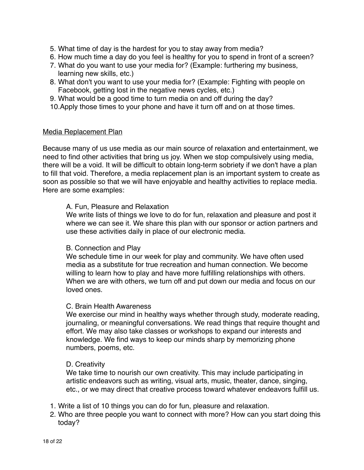- 5. What time of day is the hardest for you to stay away from media?
- 6. How much time a day do you feel is healthy for you to spend in front of a screen?
- 7. What do you want to use your media for? (Example: furthering my business, learning new skills, etc.)
- 8. What don't you want to use your media for? (Example: Fighting with people on Facebook, getting lost in the negative news cycles, etc.)
- 9. What would be a good time to turn media on and off during the day?
- 10.Apply those times to your phone and have it turn off and on at those times.

#### Media Replacement Plan

Because many of us use media as our main source of relaxation and entertainment, we need to find other activities that bring us joy. When we stop compulsively using media, there will be a void. It will be difficult to obtain long-term sobriety if we don't have a plan to fill that void. Therefore, a media replacement plan is an important system to create as soon as possible so that we will have enjoyable and healthy activities to replace media. Here are some examples:

#### A. Fun, Pleasure and Relaxation

We write lists of things we love to do for fun, relaxation and pleasure and post it where we can see it. We share this plan with our sponsor or action partners and use these activities daily in place of our electronic media.

#### B. Connection and Play

We schedule time in our week for play and community. We have often used media as a substitute for true recreation and human connection. We become willing to learn how to play and have more fulfilling relationships with others. When we are with others, we turn off and put down our media and focus on our loved ones.

#### C. Brain Health Awareness

We exercise our mind in healthy ways whether through study, moderate reading, journaling, or meaningful conversations. We read things that require thought and effort. We may also take classes or workshops to expand our interests and knowledge. We find ways to keep our minds sharp by memorizing phone numbers, poems, etc.

#### D. Creativity

We take time to nourish our own creativity. This may include participating in artistic endeavors such as writing, visual arts, music, theater, dance, singing, etc., or we may direct that creative process toward whatever endeavors fulfill us.

- 1. Write a list of 10 things you can do for fun, pleasure and relaxation.
- 2. Who are three people you want to connect with more? How can you start doing this today?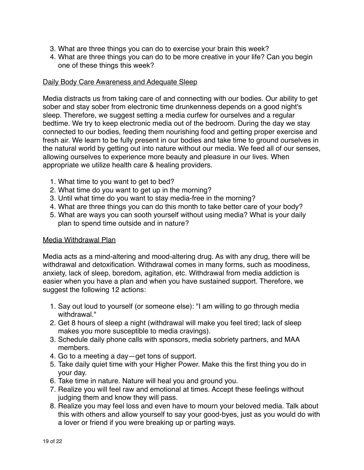- 3. What are three things you can do to exercise your brain this week?
- 4. What are three things you can do to be more creative in your life? Can you begin one of these things this week?

### Daily Body Care Awareness and Adequate Sleep

Media distracts us from taking care of and connecting with our bodies. Our ability to get sober and stay sober from electronic time drunkenness depends on a good night's sleep. Therefore, we suggest setting a media curfew for ourselves and a regular bedtime. We try to keep electronic media out of the bedroom. During the day we stay connected to our bodies, feeding them nourishing food and getting proper exercise and fresh air. We learn to be fully present in our bodies and take time to ground ourselves in the natural world by getting out into nature without our media. We feed all of our senses, allowing ourselves to experience more beauty and pleasure in our lives. When appropriate we utilize health care & healing providers.

- 1. What time to you want to get to bed?
- 2. What time do you want to get up in the morning?
- 3. Until what time do you want to stay media-free in the morning?
- 4. What are three things you can do this month to take better care of your body?
- 5. What are ways you can sooth yourself without using media? What is your daily plan to spend time outside and in nature?

### Media Withdrawal Plan

Media acts as a mind-altering and mood-altering drug. As with any drug, there will be withdrawal and detoxification. Withdrawal comes in many forms, such as moodiness, anxiety, lack of sleep, boredom, agitation, etc. Withdrawal from media addiction is easier when you have a plan and when you have sustained support. Therefore, we suggest the following 12 actions:

- 1. Say out loud to yourself (or someone else): "I am willing to go through media withdrawal"
- 2. Get 8 hours of sleep a night (withdrawal will make you feel tired; lack of sleep makes you more susceptible to media cravings).
- 3. Schedule daily phone calls with sponsors, media sobriety partners, and MAA members.
- 4. Go to a meeting a day—get tons of support.
- 5. Take daily quiet time with your Higher Power. Make this the first thing you do in your day.
- 6. Take time in nature. Nature will heal you and ground you.
- 7. Realize you will feel raw and emotional at times. Accept these feelings without judging them and know they will pass.
- 8. Realize you may feel loss and even have to mourn your beloved media. Talk about this with others and allow yourself to say your good-byes, just as you would do with a lover or friend if you were breaking up or parting ways.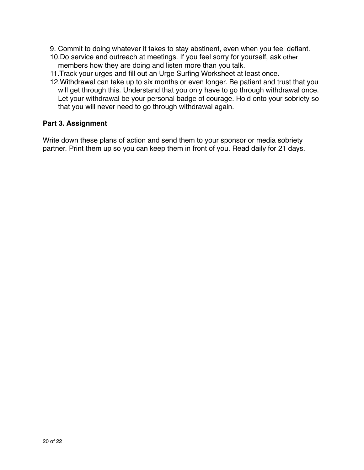- 9. Commit to doing whatever it takes to stay abstinent, even when you feel defiant.
- 10.Do service and outreach at meetings. If you feel sorry for yourself, ask other members how they are doing and listen more than you talk.
- 11.Track your urges and fill out an Urge Surfing Worksheet at least once.
- 12.Withdrawal can take up to six months or even longer. Be patient and trust that you will get through this. Understand that you only have to go through withdrawal once. Let your withdrawal be your personal badge of courage. Hold onto your sobriety so that you will never need to go through withdrawal again.

#### **Part 3. Assignment**

Write down these plans of action and send them to your sponsor or media sobriety partner. Print them up so you can keep them in front of you. Read daily for 21 days.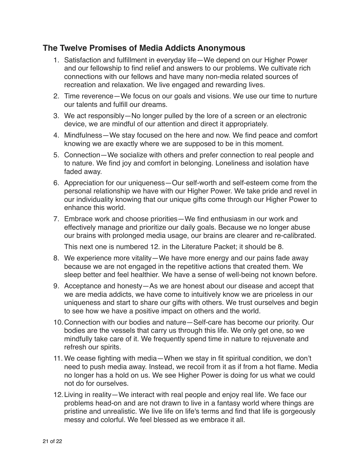### **The Twelve Promises of Media Addicts Anonymous**

- 1. Satisfaction and fulfillment in everyday life—We depend on our Higher Power and our fellowship to find relief and answers to our problems. We cultivate rich connections with our fellows and have many non-media related sources of recreation and relaxation. We live engaged and rewarding lives.
- 2. Time reverence—We focus on our goals and visions. We use our time to nurture our talents and fulfill our dreams.
- 3. We act responsibly—No longer pulled by the lore of a screen or an electronic device, we are mindful of our attention and direct it appropriately.
- 4. Mindfulness—We stay focused on the here and now. We find peace and comfort knowing we are exactly where we are supposed to be in this moment.
- 5. Connection—We socialize with others and prefer connection to real people and to nature. We find joy and comfort in belonging. Loneliness and isolation have faded away.
- 6. Appreciation for our uniqueness—Our self-worth and self-esteem come from the personal relationship we have with our Higher Power. We take pride and revel in our individuality knowing that our unique gifts come through our Higher Power to enhance this world.
- 7. Embrace work and choose priorities—We find enthusiasm in our work and effectively manage and prioritize our daily goals. Because we no longer abuse our brains with prolonged media usage, our brains are clearer and re-calibrated.

This next one is numbered 12. in the Literature Packet; it should be 8.

- 8. We experience more vitality—We have more energy and our pains fade away because we are not engaged in the repetitive actions that created them. We sleep better and feel healthier. We have a sense of well-being not known before.
- 9. Acceptance and honesty—As we are honest about our disease and accept that we are media addicts, we have come to intuitively know we are priceless in our uniqueness and start to share our gifts with others. We trust ourselves and begin to see how we have a positive impact on others and the world.
- 10.Connection with our bodies and nature—Self-care has become our priority. Our bodies are the vessels that carry us through this life. We only get one, so we mindfully take care of it. We frequently spend time in nature to rejuvenate and refresh our spirits.
- 11. We cease fighting with media—When we stay in fit spiritual condition, we don't need to push media away. Instead, we recoil from it as if from a hot flame. Media no longer has a hold on us. We see Higher Power is doing for us what we could not do for ourselves.
- 12.Living in reality—We interact with real people and enjoy real life. We face our problems head-on and are not drawn to live in a fantasy world where things are pristine and unrealistic. We live life on life's terms and find that life is gorgeously messy and colorful. We feel blessed as we embrace it all.